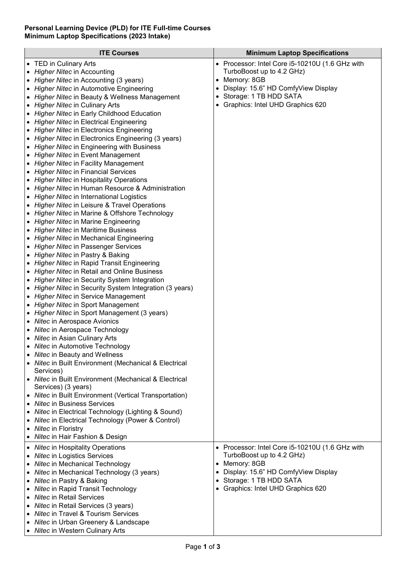## **Personal Learning Device (PLD) for ITE Full-time Courses Minimum Laptop Specifications (2023 Intake)**

| <b>ITE Courses</b>                                                            |   | <b>Minimum Laptop Specifications</b>            |
|-------------------------------------------------------------------------------|---|-------------------------------------------------|
| • TED in Culinary Arts                                                        |   | • Processor: Intel Core i5-10210U (1.6 GHz with |
| Higher Nitec in Accounting                                                    |   | TurboBoost up to 4.2 GHz)                       |
| Higher Nitec in Accounting (3 years)                                          | ٠ | Memory: 8GB                                     |
| Higher Nitec in Automotive Engineering                                        | ٠ | Display: 15.6" HD ComfyView Display             |
| Higher Nitec in Beauty & Wellness Management                                  | ٠ | Storage: 1 TB HDD SATA                          |
| Higher Nitec in Culinary Arts                                                 | ٠ | Graphics: Intel UHD Graphics 620                |
| • Higher Nitec in Early Childhood Education                                   |   |                                                 |
| • Higher Nitec in Electrical Engineering                                      |   |                                                 |
| • Higher Nitec in Electronics Engineering                                     |   |                                                 |
| • Higher Nitec in Electronics Engineering (3 years)                           |   |                                                 |
| • Higher Nitec in Engineering with Business                                   |   |                                                 |
| • Higher Nitec in Event Management                                            |   |                                                 |
| • Higher Nitec in Facility Management                                         |   |                                                 |
| • Higher Nitec in Financial Services                                          |   |                                                 |
| • Higher Nitec in Hospitality Operations                                      |   |                                                 |
| • Higher Nitec in Human Resource & Administration                             |   |                                                 |
| • Higher Nitec in International Logistics                                     |   |                                                 |
| • Higher Nitec in Leisure & Travel Operations                                 |   |                                                 |
| • Higher Nitec in Marine & Offshore Technology                                |   |                                                 |
| • Higher Nitec in Marine Engineering                                          |   |                                                 |
| • Higher Nitec in Maritime Business                                           |   |                                                 |
| • Higher Nitec in Mechanical Engineering                                      |   |                                                 |
| • Higher Nitec in Passenger Services<br>• Higher Nitec in Pastry & Baking     |   |                                                 |
| <b>Higher Nitec in Rapid Transit Engineering</b>                              |   |                                                 |
| <b>Higher Nitec in Retail and Online Business</b>                             |   |                                                 |
| <b>Higher Nitec in Security System Integration</b>                            |   |                                                 |
| Higher Nitec in Security System Integration (3 years)                         |   |                                                 |
| Higher Nitec in Service Management                                            |   |                                                 |
| Higher Nitec in Sport Management                                              |   |                                                 |
| Higher Nitec in Sport Management (3 years)                                    |   |                                                 |
| Nitec in Aerospace Avionics                                                   |   |                                                 |
| Nitec in Aerospace Technology                                                 |   |                                                 |
| Nitec in Asian Culinary Arts                                                  |   |                                                 |
| • Nitec in Automotive Technology                                              |   |                                                 |
| • Nitec in Beauty and Wellness                                                |   |                                                 |
| • Nitec in Built Environment (Mechanical & Electrical                         |   |                                                 |
| Services)                                                                     |   |                                                 |
| • Nitec in Built Environment (Mechanical & Electrical                         |   |                                                 |
| Services) (3 years)<br>• Nitec in Built Environment (Vertical Transportation) |   |                                                 |
| • Nitec in Business Services                                                  |   |                                                 |
| • Nitec in Electrical Technology (Lighting & Sound)                           |   |                                                 |
| • Nitec in Electrical Technology (Power & Control)                            |   |                                                 |
| Nitec in Floristry                                                            |   |                                                 |
| • Nitec in Hair Fashion & Design                                              |   |                                                 |
| • Nitec in Hospitality Operations                                             |   | • Processor: Intel Core i5-10210U (1.6 GHz with |
| • Nitec in Logistics Services                                                 |   | TurboBoost up to 4.2 GHz)                       |
| • Nitec in Mechanical Technology                                              |   | Memory: 8GB                                     |
| • Nitec in Mechanical Technology (3 years)                                    |   | Display: 15.6" HD ComfyView Display             |
| • Nitec in Pastry & Baking                                                    |   | Storage: 1 TB HDD SATA                          |
| • Nitec in Rapid Transit Technology                                           |   | Graphics: Intel UHD Graphics 620                |
| • Nitec in Retail Services                                                    |   |                                                 |
| • Nitec in Retail Services (3 years)                                          |   |                                                 |
| • Nitec in Travel & Tourism Services                                          |   |                                                 |
| • Nitec in Urban Greenery & Landscape                                         |   |                                                 |
| • Nitec in Western Culinary Arts                                              |   |                                                 |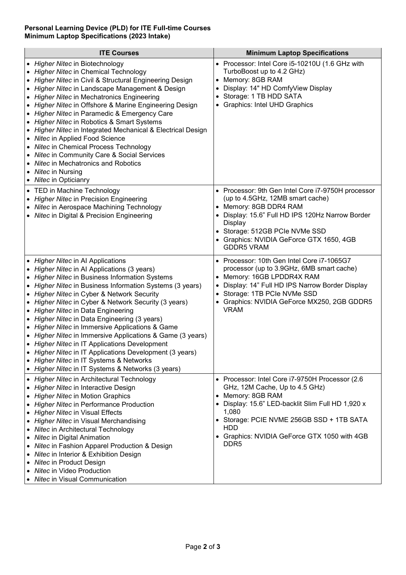## **Personal Learning Device (PLD) for ITE Full-time Courses Minimum Laptop Specifications (2023 Intake)**

| <b>ITE Courses</b>                                                                                                                                                                                                                                                                                                                                                                                                                                                                                                                                                                                                                                                                                                     | <b>Minimum Laptop Specifications</b>                                                                                                                                                                                                                                                                                |  |
|------------------------------------------------------------------------------------------------------------------------------------------------------------------------------------------------------------------------------------------------------------------------------------------------------------------------------------------------------------------------------------------------------------------------------------------------------------------------------------------------------------------------------------------------------------------------------------------------------------------------------------------------------------------------------------------------------------------------|---------------------------------------------------------------------------------------------------------------------------------------------------------------------------------------------------------------------------------------------------------------------------------------------------------------------|--|
| • Higher Nitec in Biotechnology<br>• Higher Nitec in Chemical Technology<br>• Higher Nitec in Civil & Structural Engineering Design<br>Higher Nitec in Landscape Management & Design<br><b>Higher Nitec in Mechatronics Engineering</b><br>Higher Nitec in Offshore & Marine Engineering Design<br>Higher Nitec in Paramedic & Emergency Care<br>• Higher Nitec in Robotics & Smart Systems<br>Higher Nitec in Integrated Mechanical & Electrical Design<br>• Nitec in Applied Food Science<br>• Nitec in Chemical Process Technology<br>• Nitec in Community Care & Social Services<br>• Nitec in Mechatronics and Robotics<br>• Nitec in Nursing<br>• Nitec in Opticianry                                            | • Processor: Intel Core i5-10210U (1.6 GHz with<br>TurboBoost up to 4.2 GHz)<br>Memory: 8GB RAM<br>$\bullet$<br>Display: 14" HD ComfyView Display<br>٠<br>Storage: 1 TB HDD SATA<br>٠<br><b>Graphics: Intel UHD Graphics</b>                                                                                        |  |
| • TED in Machine Technology<br>• Higher Nitec in Precision Engineering<br>• Nitec in Aerospace Machining Technology<br>• Nitec in Digital & Precision Engineering                                                                                                                                                                                                                                                                                                                                                                                                                                                                                                                                                      | Processor: 9th Gen Intel Core i7-9750H processor<br>(up to 4.5GHz, 12MB smart cache)<br>Memory: 8GB DDR4 RAM<br>$\bullet$<br>Display: 15.6" Full HD IPS 120Hz Narrow Border<br>Display<br>Storage: 512GB PCIe NVMe SSD<br>Graphics: NVIDIA GeForce GTX 1650, 4GB<br><b>GDDR5 VRAM</b>                               |  |
| • Higher Nitec in Al Applications<br>• Higher Nitec in Al Applications (3 years)<br>• Higher Nitec in Business Information Systems<br>• Higher Nitec in Business Information Systems (3 years)<br>• Higher Nitec in Cyber & Network Security<br>• Higher Nitec in Cyber & Network Security (3 years)<br>• Higher Nitec in Data Engineering<br>• Higher Nitec in Data Engineering (3 years)<br>• Higher Nitec in Immersive Applications & Game<br>• Higher Nitec in Immersive Applications & Game (3 years)<br>• Higher Nitec in IT Applications Development<br>• Higher Nitec in IT Applications Development (3 years)<br>• Higher Nitec in IT Systems & Networks<br>• Higher Nitec in IT Systems & Networks (3 years) | Processor: 10th Gen Intel Core i7-1065G7<br>processor (up to 3.9GHz, 6MB smart cache)<br>Memory: 16GB LPDDR4X RAM<br>$\bullet$<br>Display: 14" Full HD IPS Narrow Border Display<br>Storage: 1TB PCIe NVMe SSD<br>$\bullet$<br>Graphics: NVIDIA GeForce MX250, 2GB GDDR5<br>٠<br><b>VRAM</b>                        |  |
| • Higher Nitec in Architectural Technology<br>• Higher Nitec in Interactive Design<br><b>Higher Nitec in Motion Graphics</b><br><b>Higher Nitec in Performance Production</b><br>• Higher Nitec in Visual Effects<br>• Higher Nitec in Visual Merchandising<br>• Nitec in Architectural Technology<br>• Nitec in Digital Animation<br>• Nitec in Fashion Apparel Production & Design<br>• Nitec in Interior & Exhibition Design<br>• Nitec in Product Design<br>• Nitec in Video Production<br>• Nitec in Visual Communication                                                                                                                                                                                         | Processor: Intel Core i7-9750H Processor (2.6<br>$\bullet$<br>GHz, 12M Cache, Up to 4.5 GHz)<br>Memory: 8GB RAM<br>$\bullet$<br>Display: 15.6" LED-backlit Slim Full HD 1,920 x<br>1,080<br>Storage: PCIE NVME 256GB SSD + 1TB SATA<br><b>HDD</b><br>Graphics: NVIDIA GeForce GTX 1050 with 4GB<br>DDR <sub>5</sub> |  |